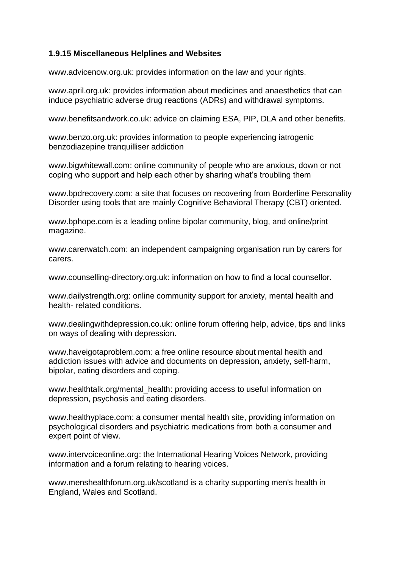## **1.9.15 Miscellaneous Helplines and Websites**

[www.advicenow.org.uk:](http://www.advicenow.org.uk/) provides information on the law and your rights.

[www.april.org.uk:](http://www.april.org.uk/) provides information about medicines and anaesthetics that can induce psychiatric adverse drug reactions (ADRs) and withdrawal symptoms.

[www.benefitsandwork.co.uk:](http://www.benefitsandwork.co.uk/) advice on claiming ESA, PIP, DLA and other benefits.

[www.benzo.org.uk:](http://www.benzo.org.uk/) provides information to people experiencing iatrogenic benzodiazepine tranquilliser addiction

[www.bigwhitewall.com:](http://www.bigwhitewall.com/) online community of people who are anxious, down or not coping who support and help each other by sharing what's troubling them

[www.bpdrecovery.com:](http://www.bpdrecovery.com/) a site that focuses on recovering from Borderline Personality Disorder using tools that are mainly Cognitive Behavioral Therapy (CBT) oriented.

[www.bphope.com](http://www.bphope.com/) is a leading online bipolar community, blog, and online/print magazine.

[www.carerwatch.com:](http://www.carerwatch.com/) an independent campaigning organisation run by carers for carers.

[www.counselling-directory.org.uk:](http://www.counselling-directory.org.uk/) information on how to find a local counsellor.

[www.dailystrength.org:](http://www.dailystrength.org/) online community support for anxiety, mental health and health- related conditions.

[www.dealingwithdepression.co.uk:](http://www.dealingwithdepression.co.uk/) online forum offering help, advice, tips and links on ways of dealing with depression.

[www.haveigotaproblem.com:](http://www.haveigotaproblem.com/) a free online resource about mental health and addiction issues with advice and documents on depression, anxiety, self-harm, bipolar, eating disorders and coping.

[www.healthtalk.org/mental\\_health:](http://www.healthtalk.org/mental_health) providing access to useful information on depression, psychosis and eating disorders.

[www.healthyplace.com:](http://www.healthyplace.com/) a consumer mental health site, providing information on psychological disorders and psychiatric medications from both a consumer and expert point of view.

[www.intervoiceonline.org:](http://www.intervoiceonline.org/) the International Hearing Voices Network, providing information and a forum relating to hearing voices.

[www.menshealthforum.org.uk/scotland](http://www.menshealthforum.org.uk/scotland) is a charity supporting men's health in England, Wales and Scotland.